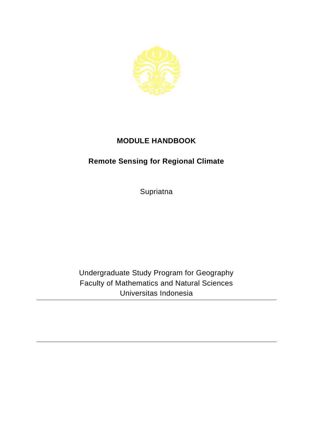

## **MODULE HANDBOOK**

## **Remote Sensing for Regional Climate**

**Supriatna** 

Undergraduate Study Program for Geography Faculty of Mathematics and Natural Sciences Universitas Indonesia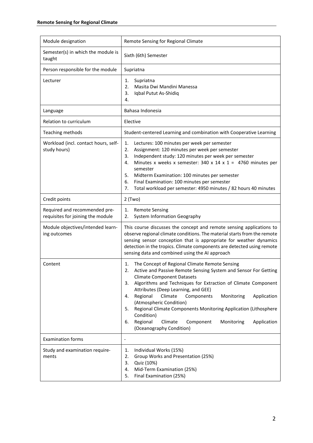| Module designation                                                 | Remote Sensing for Regional Climate                                                                                                                                                                                                                                                                                                                                                                                                                                                                                                                                     |
|--------------------------------------------------------------------|-------------------------------------------------------------------------------------------------------------------------------------------------------------------------------------------------------------------------------------------------------------------------------------------------------------------------------------------------------------------------------------------------------------------------------------------------------------------------------------------------------------------------------------------------------------------------|
| Semester(s) in which the module is<br>taught                       | Sixth (6th) Semester                                                                                                                                                                                                                                                                                                                                                                                                                                                                                                                                                    |
| Person responsible for the module                                  | Supriatna                                                                                                                                                                                                                                                                                                                                                                                                                                                                                                                                                               |
| Lecturer                                                           | Supriatna<br>1.<br>2.<br>Masita Dwi Mandini Manessa<br>Iqbal Putut As-Shidiq<br>3.<br>4.                                                                                                                                                                                                                                                                                                                                                                                                                                                                                |
| Language                                                           | Bahasa Indonesia                                                                                                                                                                                                                                                                                                                                                                                                                                                                                                                                                        |
| Relation to curriculum                                             | Elective                                                                                                                                                                                                                                                                                                                                                                                                                                                                                                                                                                |
| Teaching methods                                                   | Student-centered Learning and combination with Cooperative Learning                                                                                                                                                                                                                                                                                                                                                                                                                                                                                                     |
| Workload (incl. contact hours, self-<br>study hours)               | Lectures: 100 minutes per week per semester<br>1.<br>Assignment: 120 minutes per week per semester<br>2.<br>Independent study: 120 minutes per week per semester<br>3.<br>Minutes x weeks x semester: 340 x 14 x 1 = 4760 minutes per<br>4.<br>semester<br>5.<br>Midterm Examination: 100 minutes per semester<br>6.<br>Final Examination: 100 minutes per semester<br>Total workload per semester: 4950 minutes / 82 hours 40 minutes<br>7.                                                                                                                            |
| Credit points                                                      | $2$ (Two)                                                                                                                                                                                                                                                                                                                                                                                                                                                                                                                                                               |
| Required and recommended pre-<br>requisites for joining the module | <b>Remote Sensing</b><br>1.<br>System Information Geography<br>2.                                                                                                                                                                                                                                                                                                                                                                                                                                                                                                       |
| Module objectives/intended learn-<br>ing outcomes                  | This course discusses the concept and remote sensing applications to<br>observe regional climate conditions. The material starts from the remote<br>sensing sensor conception that is appropriate for weather dynamics<br>detection in the tropics. Climate components are detected using remote<br>sensing data and combined using the AI approach                                                                                                                                                                                                                     |
| Content                                                            | The Concept of Regional Climate Remote Sensing<br>1.<br>Active and Passive Remote Sensing System and Sensor For Getting<br><b>Climate Component Datasets</b><br>Algorithms and Techniques for Extraction of Climate Component<br>3.<br>Attributes (Deep Learning, and GEE)<br>Regional<br>Climate<br>Monitoring<br>Components<br>Application<br>4.<br>(Atmospheric Condition)<br>Regional Climate Components Monitoring Application (Lithosphere<br>5.<br>Condition)<br>Regional<br>Climate<br>Component<br>Monitoring<br>Application<br>6.<br>(Oceanography Condition) |
| <b>Examination forms</b>                                           | $\overline{\phantom{a}}$                                                                                                                                                                                                                                                                                                                                                                                                                                                                                                                                                |
| Study and examination require-<br>ments                            | Individual Works (15%)<br>1.<br>2.<br>Group Works and Presentation (25%)<br>3.<br>Quiz (10%)<br>Mid-Term Examination (25%)<br>4.<br>Final Examination (25%)<br>5.                                                                                                                                                                                                                                                                                                                                                                                                       |